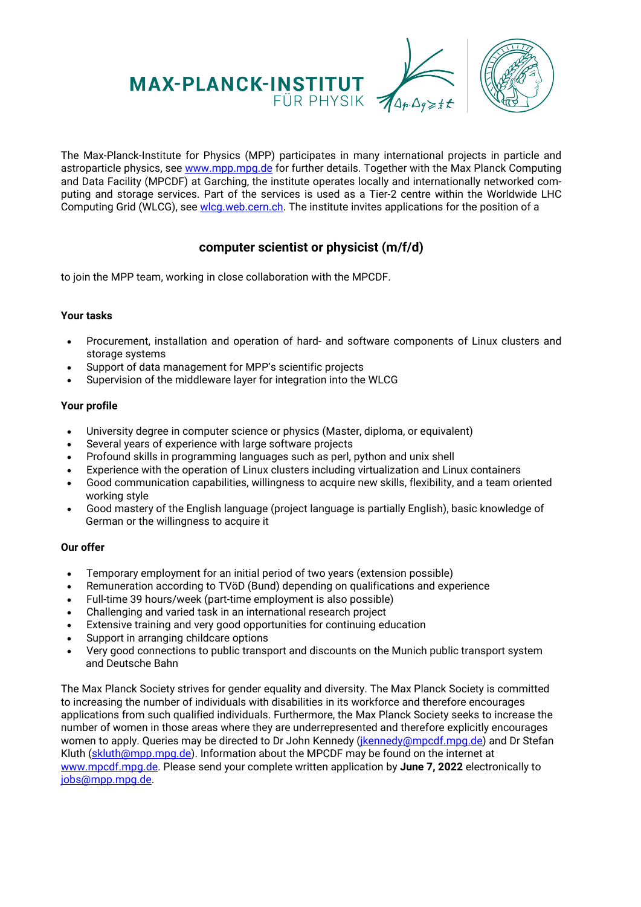

The Max-Planck-Institute for Physics (MPP) participates in many international projects in particle and astroparticle physics, see [www.mpp.mpg.de f](http://www.mpp.mpg.de/)or further details. Together with the Max Planck Computing and Data Facility (MPCDF) at Garching, the institute operates locally and internationally networked computing and storage services. Part of the services is used as a Tier-2 centre within the Worldwide LHC Computing Grid (WLCG), see [wlcg.web.cern.ch.](http://wlcg.web.cern.ch/) The institute invites applications for the position of a

## **computer scientist or physicist (m/f/d)**

to join the MPP team, working in close collaboration with the MPCDF.

## **Your tasks**

- Procurement, installation and operation of hard- and software components of Linux clusters and storage systems
- Support of data management for MPP's scientific projects
- Supervision of the middleware layer for integration into the WLCG

## **Your profile**

- University degree in computer science or physics (Master, diploma, or equivalent)
- Several years of experience with large software projects
- Profound skills in programming languages such as perl, python and unix shell
- Experience with the operation of Linux clusters including virtualization and Linux containers
- Good communication capabilities, willingness to acquire new skills, flexibility, and a team oriented working style
- Good mastery of the English language (project language is partially English), basic knowledge of German or the willingness to acquire it

## **Our offer**

- Temporary employment for an initial period of two years (extension possible)
- Remuneration according to TVöD (Bund) depending on qualifications and experience
- Full-time 39 hours/week (part-time employment is also possible)
- Challenging and varied task in an international research project
- Extensive training and very good opportunities for continuing education
- Support in arranging childcare options
- Very good connections to public transport and discounts on the Munich public transport system and Deutsche Bahn

The Max Planck Society strives for gender equality and diversity. The Max Planck Society is committed to increasing the number of individuals with disabilities in its workforce and therefore encourages applications from such qualified individuals. Furthermore, the Max Planck Society seeks to increase the number of women in those areas where they are underrepresented and therefore explicitly encourages women to apply. Queries may be directed to Dr John Kennedy (*jkennedy@mpcdf.mpg.de*) and Dr Stefan Kluth [\(skluth@mpp.mpg.de\)](mailto:skluth@mpp.mpg.de). Information about the MPCDF may be found on the internet at [www.mpcdf.mpg.de.](https://www.mpcdf.mpg.de/) Please send your complete written application by **June 7, 2022** electronically to [jobs@mpp.mpg.de.](mailto:jobs@mpp.mpg.de)